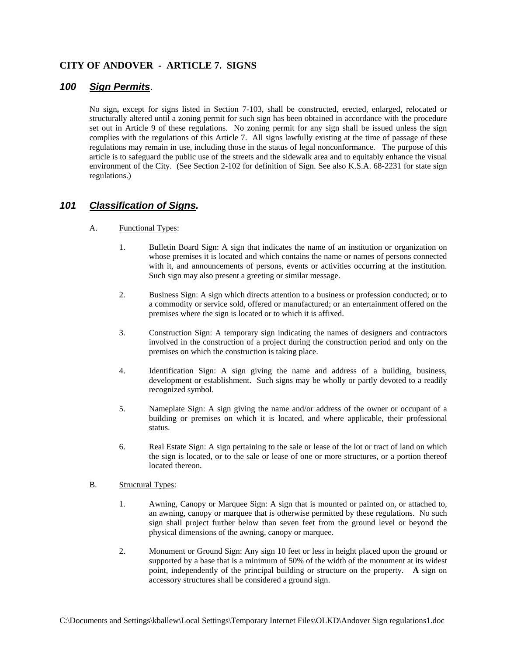# **CITY OF ANDOVER - ARTICLE 7. SIGNS**

## *100 Sign Permits*.

No sign**,** except for signs listed in Section 7-103, shall be constructed, erected, enlarged, relocated or structurally altered until a zoning permit for such sign has been obtained in accordance with the procedure set out in Article 9 of these regulations. No zoning permit for any sign shall be issued unless the sign complies with the regulations of this Article 7. All signs lawfully existing at the time of passage of these regulations may remain in use, including those in the status of legal nonconformance. The purpose of this article is to safeguard the public use of the streets and the sidewalk area and to equitably enhance the visual environment of the City. (See Section 2-102 for definition of Sign. See also K.S.A. 68-2231 for state sign regulations.)

### *101 Classification of Signs.*

- A. Functional Types:
	- 1. Bulletin Board Sign: A sign that indicates the name of an institution or organization on whose premises it is located and which contains the name or names of persons connected with it, and announcements of persons, events or activities occurring at the institution. Such sign may also present a greeting or similar message.
	- 2. Business Sign: A sign which directs attention to a business or profession conducted; or to a commodity or service sold, offered or manufactured; or an entertainment offered on the premises where the sign is located or to which it is affixed.
	- 3. Construction Sign: A temporary sign indicating the names of designers and contractors involved in the construction of a project during the construction period and only on the premises on which the construction is taking place.
	- 4. Identification Sign: A sign giving the name and address of a building, business, development or establishment. Such signs may be wholly or partly devoted to a readily recognized symbol.
	- 5. Nameplate Sign: A sign giving the name and/or address of the owner or occupant of a building or premises on which it is located, and where applicable, their professional status.
	- 6. Real Estate Sign: A sign pertaining to the sale or lease of the lot or tract of land on which the sign is located, or to the sale or lease of one or more structures, or a portion thereof located thereon.

#### B. Structural Types:

- 1. Awning, Canopy or Marquee Sign: A sign that is mounted or painted on, or attached to, an awning, canopy or marquee that is otherwise permitted by these regulations. No such sign shall project further below than seven feet from the ground level or beyond the physical dimensions of the awning, canopy or marquee.
- 2. Monument or Ground Sign: Any sign 10 feet or less in height placed upon the ground or supported by a base that is a minimum of 50% of the width of the monument at its widest point, independently of the principal building or structure on the property. **A** sign on accessory structures shall be considered a ground sign.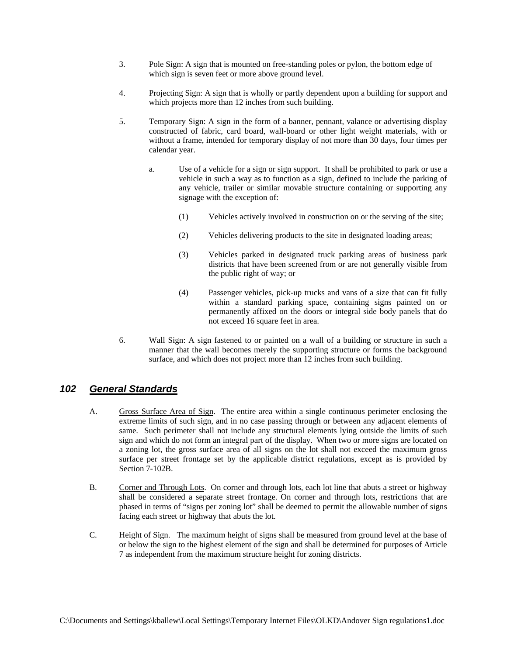- 3. Pole Sign: A sign that is mounted on free-standing poles or pylon, the bottom edge of which sign is seven feet or more above ground level.
- 4. Projecting Sign: A sign that is wholly or partly dependent upon a building for support and which projects more than 12 inches from such building.
- 5. Temporary Sign: A sign in the form of a banner, pennant, valance or advertising display constructed of fabric, card board, wall-board or other light weight materials, with or without a frame, intended for temporary display of not more than 30 days, four times per calendar year.
	- a. Use of a vehicle for a sign or sign support. It shall be prohibited to park or use a vehicle in such a way as to function as a sign, defined to include the parking of any vehicle, trailer or similar movable structure containing or supporting any signage with the exception of:
		- (1) Vehicles actively involved in construction on or the serving of the site;
		- (2) Vehicles delivering products to the site in designated loading areas;
		- (3) Vehicles parked in designated truck parking areas of business park districts that have been screened from or are not generally visible from the public right of way; or
		- (4) Passenger vehicles, pick-up trucks and vans of a size that can fit fully within a standard parking space, containing signs painted on or permanently affixed on the doors or integral side body panels that do not exceed 16 square feet in area.
- 6. Wall Sign: A sign fastened to or painted on a wall of a building or structure in such a manner that the wall becomes merely the supporting structure or forms the background surface, and which does not project more than 12 inches from such building.

# *102 General Standards*

- A. Gross Surface Area of Sign. The entire area within a single continuous perimeter enclosing the extreme limits of such sign, and in no case passing through or between any adjacent elements of same. Such perimeter shall not include any structural elements lying outside the limits of such sign and which do not form an integral part of the display. When two or more signs are located on a zoning lot, the gross surface area of all signs on the lot shall not exceed the maximum gross surface per street frontage set by the applicable district regulations, except as is provided by Section 7-102B.
- B. Corner and Through Lots. On corner and through lots, each lot line that abuts a street or highway shall be considered a separate street frontage. On corner and through lots, restrictions that are phased in terms of "signs per zoning lot" shall be deemed to permit the allowable number of signs facing each street or highway that abuts the lot.
- C. Height of Sign. The maximum height of signs shall be measured from ground level at the base of or below the sign to the highest element of the sign and shall be determined for purposes of Article 7 as independent from the maximum structure height for zoning districts.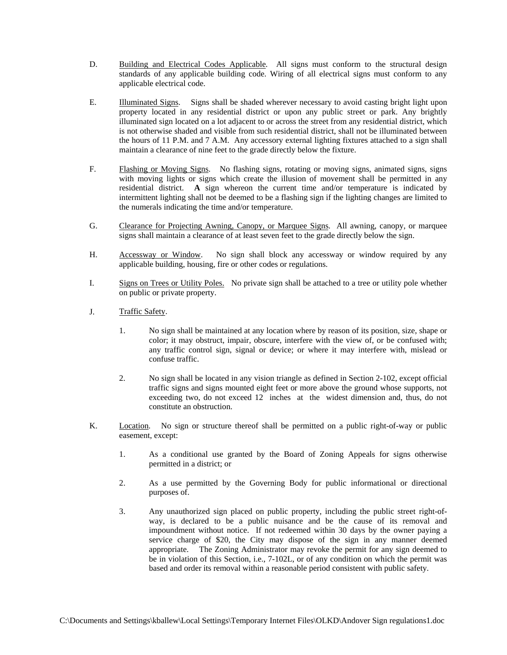- D. Building and Electrical Codes Applicable. All signs must conform to the structural design standards of any applicable building code. Wiring of all electrical signs must conform to any applicable electrical code.
- E. Illuminated Signs. Signs shall be shaded wherever necessary to avoid casting bright light upon property located in any residential district or upon any public street or park. Any brightly illuminated sign located on a lot adjacent to or across the street from any residential district, which is not otherwise shaded and visible from such residential district, shall not be illuminated between the hours of 11 P.M. and 7 A.M. Any accessory external lighting fixtures attached to a sign shall maintain a clearance of nine feet to the grade directly below the fixture.
- F. Flashing or Moving Signs. No flashing signs, rotating or moving signs, animated signs, signs with moving lights or signs which create the illusion of movement shall be permitted in any residential district. **A** sign whereon the current time and/or temperature is indicated by intermittent lighting shall not be deemed to be a flashing sign if the lighting changes are limited to the numerals indicating the time and/or temperature.
- G. Clearance for Projecting Awning, Canopy, or Marquee Signs. All awning, canopy, or marquee signs shall maintain a clearance of at least seven feet to the grade directly below the sign.
- H. Accessway or Window. No sign shall block any accessway or window required by any applicable building, housing, fire or other codes or regulations.
- I. Signs on Trees or Utility Poles. No private sign shall be attached to a tree or utility pole whether on public or private property.
- J. Traffic Safety.
	- 1. No sign shall be maintained at any location where by reason of its position, size, shape or color; it may obstruct, impair, obscure, interfere with the view of, or be confused with; any traffic control sign, signal or device; or where it may interfere with, mislead or confuse traffic.
	- 2. No sign shall be located in any vision triangle as defined in Section 2-102, except official traffic signs and signs mounted eight feet or more above the ground whose supports, not exceeding two, do not exceed 12 inches at the widest dimension and, thus, do not constitute an obstruction.
- K. Location. No sign or structure thereof shall be permitted on a public right-of-way or public easement, except:
	- 1. As a conditional use granted by the Board of Zoning Appeals for signs otherwise permitted in a district; or
	- 2. As a use permitted by the Governing Body for public informational or directional purposes of.
	- 3. Any unauthorized sign placed on public property, including the public street right-ofway, is declared to be a public nuisance and be the cause of its removal and impoundment without notice. If not redeemed within 30 days by the owner paying a service charge of \$20, the City may dispose of the sign in any manner deemed appropriate. The Zoning Administrator may revoke the permit for any sign deemed to be in violation of this Section, i.e., 7-102L, or of any condition on which the permit was based and order its removal within a reasonable period consistent with public safety.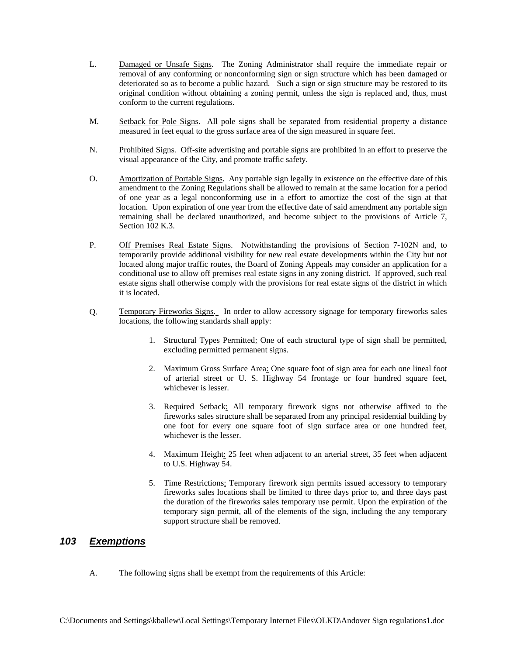- L. Damaged or Unsafe Signs. The Zoning Administrator shall require the immediate repair or removal of any conforming or nonconforming sign or sign structure which has been damaged or deteriorated so as to become a public hazard. Such a sign or sign structure may be restored to its original condition without obtaining a zoning permit, unless the sign is replaced and, thus, must conform to the current regulations.
- M. Setback for Pole Signs. All pole signs shall be separated from residential property a distance measured in feet equal to the gross surface area of the sign measured in square feet.
- N. Prohibited Signs. Off-site advertising and portable signs are prohibited in an effort to preserve the visual appearance of the City, and promote traffic safety.
- O. Amortization of Portable Signs. Any portable sign legally in existence on the effective date of this amendment to the Zoning Regulations shall be allowed to remain at the same location for a period of one year as a legal nonconforming use in a effort to amortize the cost of the sign at that location. Upon expiration of one year from the effective date of said amendment any portable sign remaining shall be declared unauthorized, and become subject to the provisions of Article 7, Section 102 K.3.
- P. Off Premises Real Estate Signs. Notwithstanding the provisions of Section 7-102N and, to temporarily provide additional visibility for new real estate developments within the City but not located along major traffic routes, the Board of Zoning Appeals may consider an application for a conditional use to allow off premises real estate signs in any zoning district. If approved, such real estate signs shall otherwise comply with the provisions for real estate signs of the district in which it is located.
- Q. Temporary Fireworks Signs. In order to allow accessory signage for temporary fireworks sales locations, the following standards shall apply:
	- 1. Structural Types Permitted: One of each structural type of sign shall be permitted, excluding permitted permanent signs.
	- 2. Maximum Gross Surface Area: One square foot of sign area for each one lineal foot of arterial street or U. S. Highway 54 frontage or four hundred square feet, whichever is lesser.
	- 3. Required Setback: All temporary firework signs not otherwise affixed to the fireworks sales structure shall be separated from any principal residential building by one foot for every one square foot of sign surface area or one hundred feet, whichever is the lesser.
	- 4. Maximum Height: 25 feet when adjacent to an arterial street, 35 feet when adjacent to U.S. Highway 54.
	- 5. Time Restrictions: Temporary firework sign permits issued accessory to temporary fireworks sales locations shall be limited to three days prior to, and three days past the duration of the fireworks sales temporary use permit. Upon the expiration of the temporary sign permit, all of the elements of the sign, including the any temporary support structure shall be removed.

# *103 Exemptions*

A. The following signs shall be exempt from the requirements of this Article: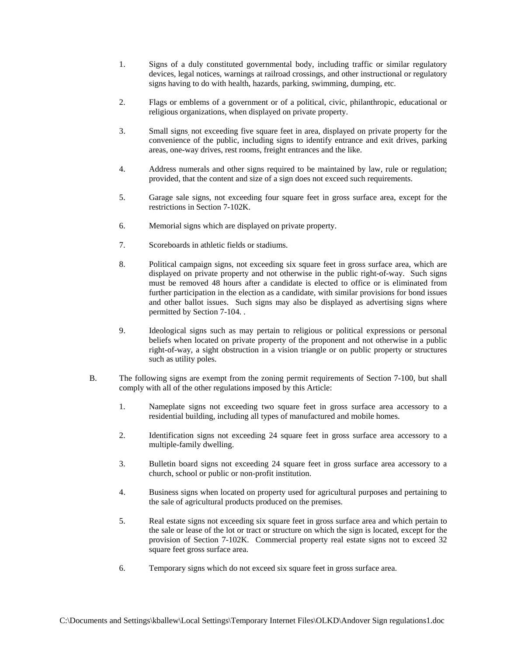- 1. Signs of a duly constituted governmental body, including traffic or similar regulatory devices, legal notices, warnings at railroad crossings, and other instructional or regulatory signs having to do with health, hazards, parking, swimming, dumping, etc.
- 2. Flags or emblems of a government or of a political, civic, philanthropic, educational or religious organizations, when displayed on private property.
- 3. Small signs, not exceeding five square feet in area, displayed on private property for the convenience of the public, including signs to identify entrance and exit drives, parking areas, one-way drives, rest rooms, freight entrances and the like.
- 4. Address numerals and other signs required to be maintained by law, rule or regulation; provided, that the content and size of a sign does not exceed such requirements.
- 5. Garage sale signs, not exceeding four square feet in gross surface area, except for the restrictions in Section 7-102K.
- 6. Memorial signs which are displayed on private property.
- 7. Scoreboards in athletic fields or stadiums.
- 8. Political campaign signs, not exceeding six square feet in gross surface area, which are displayed on private property and not otherwise in the public right-of-way. Such signs must be removed 48 hours after a candidate is elected to office or is eliminated from further participation in the election as a candidate, with similar provisions for bond issues and other ballot issues. Such signs may also be displayed as advertising signs where permitted by Section 7-104. .
- 9. Ideological signs such as may pertain to religious or political expressions or personal beliefs when located on private property of the proponent and not otherwise in a public right-of-way, a sight obstruction in a vision triangle or on public property or structures such as utility poles.
- B. The following signs are exempt from the zoning permit requirements of Section 7-100, but shall comply with all of the other regulations imposed by this Article:
	- 1. Nameplate signs not exceeding two square feet in gross surface area accessory to a residential building, including all types of manufactured and mobile homes.
	- 2. Identification signs not exceeding 24 square feet in gross surface area accessory to a multiple-family dwelling.
	- 3. Bulletin board signs not exceeding 24 square feet in gross surface area accessory to a church, school or public or non-profit institution.
	- 4. Business signs when located on property used for agricultural purposes and pertaining to the sale of agricultural products produced on the premises.
	- 5. Real estate signs not exceeding six square feet in gross surface area and which pertain to the sale or lease of the lot or tract or structure on which the sign is located, except for the provision of Section 7-102K. Commercial property real estate signs not to exceed 32 square feet gross surface area.
	- 6. Temporary signs which do not exceed six square feet in gross surface area.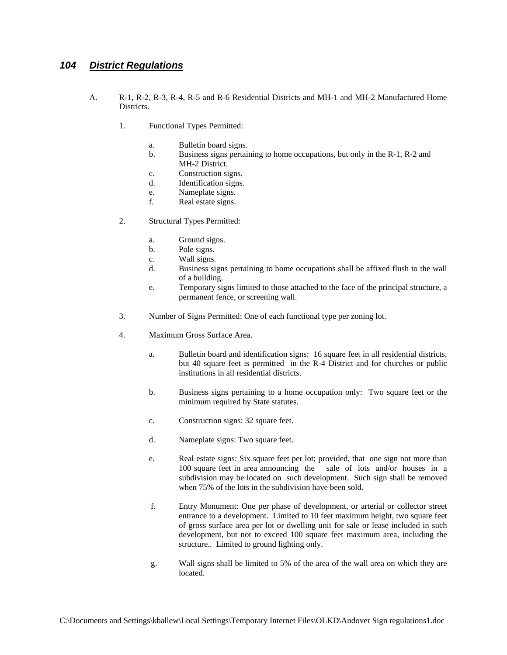# *104 District Regulations*

- A. R-1, R-2, R-3, R-4, R-5 and R-6 Residential Districts and MH-1 and MH-2 Manufactured Home Districts.
	- 1. Functional Types Permitted:
		- a. Bulletin board signs.
		- b. Business signs pertaining to home occupations, but only in the R-1, R-2 and MH-2 District.
		- c. Construction signs.
		- d. Identification signs.
		- e. Nameplate signs.
		- f. Real estate signs.
	- 2. Structural Types Permitted:
		- a. Ground signs.
		- b. Pole signs.
		- c. Wall signs.
		- d. Business signs pertaining to home occupations shall be affixed flush to the wall of a building.
		- e. Temporary signs limited to those attached to the face of the principal structure, a permanent fence, or screening wall.
	- 3. Number of Signs Permitted: One of each functional type per zoning lot.
	- 4. Maximum Gross Surface Area.
		- a. Bulletin board and identification signs: 16 square feet in all residential districts, but 40 square feet is permitted in the R-4 District and for churches or public institutions in all residential districts.
		- b. Business signs pertaining to a home occupation only: Two square feet or the minimum required by State statutes.
		- c. Construction signs: 32 square feet.
		- d. Nameplate signs: Two square feet.
		- e. Real estate signs: Six square feet per lot; provided, that one sign not more than 100 square feet in area announcing the sale of lots and/or houses in a subdivision may be located on such development. Such sign shall be removed when 75% of the lots in the subdivision have been sold.
		- f. Entry Monument: One per phase of development, or arterial or collector street entrance to a development. Limited to 10 feet maximum height, two square feet of gross surface area per lot or dwelling unit for sale or lease included in such development, but not to exceed 100 square feet maximum area, including the structure.. Limited to ground lighting only.
		- g. Wall signs shall be limited to 5% of the area of the wall area on which they are located.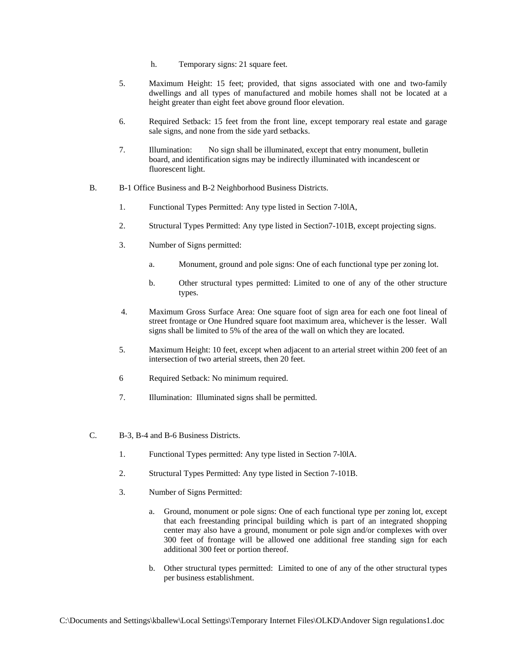- h. Temporary signs: 21 square feet.
- 5. Maximum Height: 15 feet; provided, that signs associated with one and two-family dwellings and all types of manufactured and mobile homes shall not be located at a height greater than eight feet above ground floor elevation.
- 6. Required Setback: 15 feet from the front line, except temporary real estate and garage sale signs, and none from the side yard setbacks.
- 7. Illumination: No sign shall be illuminated, except that entry monument, bulletin board, and identification signs may be indirectly illuminated with incandescent or fluorescent light.
- B. B-1 Office Business and B-2 Neighborhood Business Districts.
	- 1. Functional Types Permitted: Any type listed in Section 7-l0lA,
	- 2. Structural Types Permitted: Any type listed in Section7-101B, except projecting signs.
	- 3. Number of Signs permitted:
		- a. Monument, ground and pole signs: One of each functional type per zoning lot.
		- b. Other structural types permitted: Limited to one of any of the other structure types.
	- 4. Maximum Gross Surface Area: One square foot of sign area for each one foot lineal of street frontage or One Hundred square foot maximum area, whichever is the lesser. Wall signs shall be limited to 5% of the area of the wall on which they are located.
	- 5. Maximum Height: 10 feet, except when adjacent to an arterial street within 200 feet of an intersection of two arterial streets, then 20 feet.
	- 6 Required Setback: No minimum required.
	- 7. Illumination: Illuminated signs shall be permitted.
- C. B-3, B-4 and B-6 Business Districts.
	- 1. Functional Types permitted: Any type listed in Section 7-l0lA.
	- 2. Structural Types Permitted: Any type listed in Section 7-101B.
	- 3. Number of Signs Permitted:
		- a. Ground, monument or pole signs: One of each functional type per zoning lot, except that each freestanding principal building which is part of an integrated shopping center may also have a ground, monument or pole sign and/or complexes with over 300 feet of frontage will be allowed one additional free standing sign for each additional 300 feet or portion thereof.
		- b. Other structural types permitted: Limited to one of any of the other structural types per business establishment.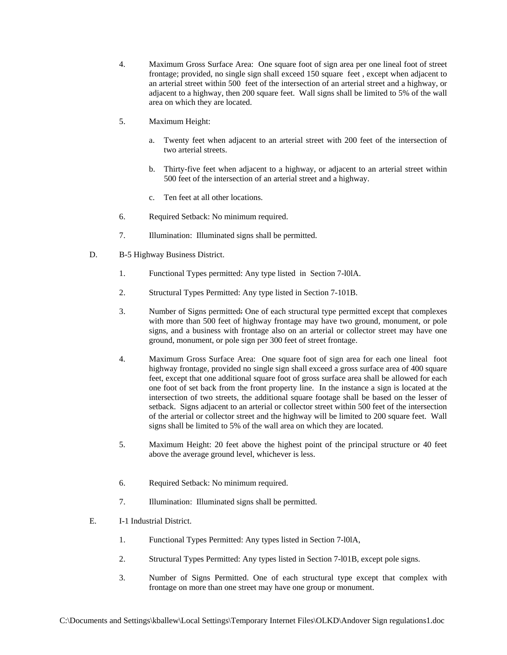- 4. Maximum Gross Surface Area: One square foot of sign area per one lineal foot of street frontage; provided, no single sign shall exceed 150 square feet , except when adjacent to an arterial street within 500 feet of the intersection of an arterial street and a highway, or adjacent to a highway, then 200 square feet. Wall signs shall be limited to 5% of the wall area on which they are located.
- 5. Maximum Height:
	- a. Twenty feet when adjacent to an arterial street with 200 feet of the intersection of two arterial streets.
	- b. Thirty-five feet when adjacent to a highway, or adjacent to an arterial street within 500 feet of the intersection of an arterial street and a highway.
	- c. Ten feet at all other locations.
- 6. Required Setback: No minimum required.
- 7. Illumination: Illuminated signs shall be permitted.
- D. B-5 Highway Business District.
	- 1. Functional Types permitted: Any type listed in Section 7-l0lA.
	- 2. Structural Types Permitted: Any type listed in Section 7-101B.
	- 3. Number of Signs permitted: One of each structural type permitted except that complexes with more than 500 feet of highway frontage may have two ground, monument, or pole signs, and a business with frontage also on an arterial or collector street may have one ground, monument, or pole sign per 300 feet of street frontage.
	- 4. Maximum Gross Surface Area: One square foot of sign area for each one lineal foot highway frontage, provided no single sign shall exceed a gross surface area of 400 square feet, except that one additional square foot of gross surface area shall be allowed for each one foot of set back from the front property line. In the instance a sign is located at the intersection of two streets, the additional square footage shall be based on the lesser of setback. Signs adjacent to an arterial or collector street within 500 feet of the intersection of the arterial or collector street and the highway will be limited to 200 square feet. Wall signs shall be limited to 5% of the wall area on which they are located.
	- 5. Maximum Height: 20 feet above the highest point of the principal structure or 40 feet above the average ground level, whichever is less.
	- 6. Required Setback: No minimum required.
	- 7. Illumination: Illuminated signs shall be permitted.
- E. I-1 Industrial District.
	- 1. Functional Types Permitted: Any types listed in Section 7-l0lA,
	- 2. Structural Types Permitted: Any types listed in Section 7-l01B, except pole signs.
	- 3. Number of Signs Permitted. One of each structural type except that complex with frontage on more than one street may have one group or monument.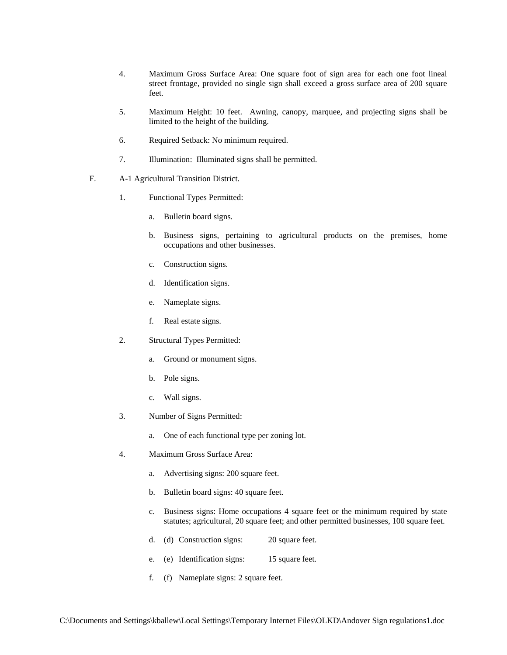- 4. Maximum Gross Surface Area: One square foot of sign area for each one foot lineal street frontage, provided no single sign shall exceed a gross surface area of 200 square feet.
- 5. Maximum Height: 10 feet. Awning, canopy, marquee, and projecting signs shall be limited to the height of the building.
- 6. Required Setback: No minimum required.
- 7. Illumination: Illuminated signs shall be permitted.
- F. A-1 Agricultural Transition District.
	- 1. Functional Types Permitted:
		- a. Bulletin board signs.
		- b. Business signs, pertaining to agricultural products on the premises, home occupations and other businesses.
		- c. Construction signs.
		- d. Identification signs.
		- e. Nameplate signs.
		- f. Real estate signs.
	- 2. Structural Types Permitted:
		- a. Ground or monument signs.
		- b. Pole signs.
		- c. Wall signs.
	- 3. Number of Signs Permitted:
		- a. One of each functional type per zoning lot.
	- 4. Maximum Gross Surface Area:
		- a. Advertising signs: 200 square feet.
		- b. Bulletin board signs: 40 square feet.
		- c. Business signs: Home occupations 4 square feet or the minimum required by state statutes; agricultural, 20 square feet; and other permitted businesses, 100 square feet.
		- d. (d) Construction signs: 20 square feet.
		- e. (e) Identification signs: 15 square feet.
		- f. (f) Nameplate signs: 2 square feet.